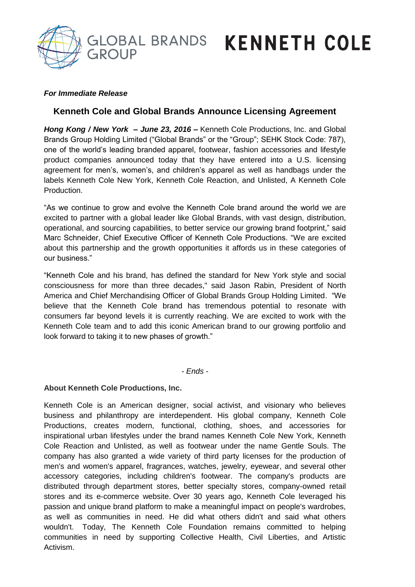GROUP

# GLOBAL BRANDS KENNETH COLE

### *For Immediate Release*

### **Kenneth Cole and Global Brands Announce Licensing Agreement**

*Hong Kong / New York – June 23, 2016* **–** Kenneth Cole Productions, Inc. and Global Brands Group Holding Limited ("Global Brands" or the "Group"; SEHK Stock Code: 787), one of the world's leading branded apparel, footwear, fashion accessories and lifestyle product companies announced today that they have entered into a U.S. licensing agreement for men's, women's, and children's apparel as well as handbags under the labels Kenneth Cole New York, Kenneth Cole Reaction, and Unlisted, A Kenneth Cole **Production** 

"As we continue to grow and evolve the Kenneth Cole brand around the world we are excited to partner with a global leader like Global Brands, with vast design, distribution, operational, and sourcing capabilities, to better service our growing brand footprint," said Marc Schneider, Chief Executive Officer of Kenneth Cole Productions. "We are excited about this partnership and the growth opportunities it affords us in these categories of our business."

"Kenneth Cole and his brand, has defined the standard for New York style and social consciousness for more than three decades," said Jason Rabin, President of North America and Chief Merchandising Officer of Global Brands Group Holding Limited. "We believe that the Kenneth Cole brand has tremendous potential to resonate with consumers far beyond levels it is currently reaching. We are excited to work with the Kenneth Cole team and to add this iconic American brand to our growing portfolio and look forward to taking it to new phases of growth."

*- Ends -*

### **About Kenneth Cole Productions, Inc.**

Kenneth Cole is an American designer, social activist, and visionary who believes business and philanthropy are interdependent. His global company, Kenneth Cole Productions, creates modern, functional, clothing, shoes, and accessories for inspirational urban lifestyles under the brand names Kenneth Cole New York, Kenneth Cole Reaction and Unlisted, as well as footwear under the name Gentle Souls. The company has also granted a wide variety of third party licenses for the production of men's and women's apparel, fragrances, watches, jewelry, eyewear, and several other accessory categories, including children's footwear. The company's products are distributed through department stores, better specialty stores, company-owned retail stores and its e-commerce website. Over 30 years ago, Kenneth Cole leveraged his passion and unique brand platform to make a meaningful impact on people's wardrobes, as well as communities in need. He did what others didn't and said what others wouldn't. Today, The Kenneth Cole Foundation remains committed to helping communities in need by supporting Collective Health, Civil Liberties, and Artistic Activism.